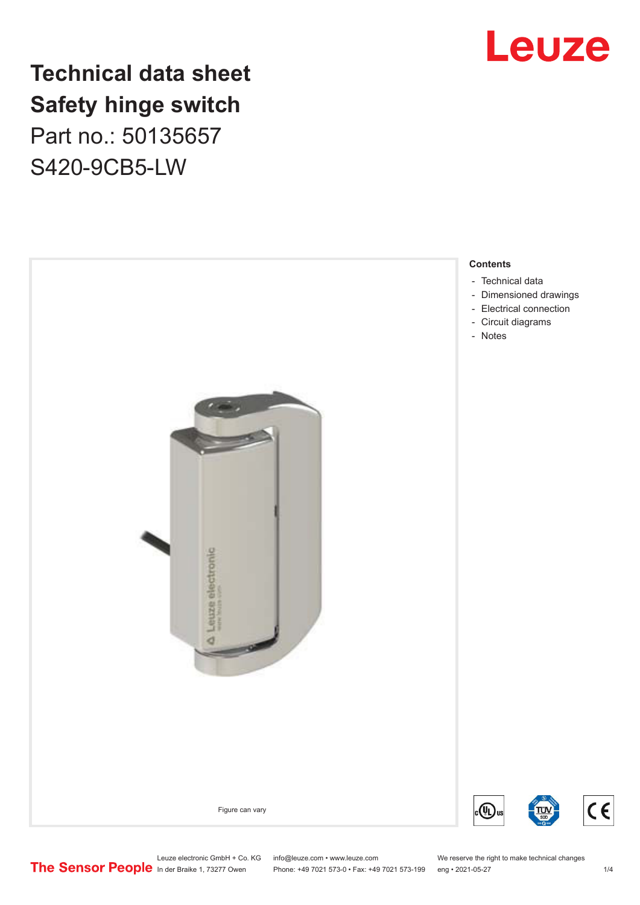## Leuze

## **Technical data sheet Safety hinge switch** Part no.: 50135657 S420-9CB5-LW



- [Dimensioned drawings](#page-2-0)
- [Electrical connection](#page-2-0)

 $C<sub>6</sub>$ 

Leuze electronic GmbH + Co. KG info@leuze.com • www.leuze.com We reserve the right to make technical changes<br>
The Sensor People in der Braike 1, 73277 Owen Phone: +49 7021 573-0 • Fax: +49 7021 573-199 eng • 2021-05-27

Phone: +49 7021 573-0 • Fax: +49 7021 573-199 eng • 2021-05-27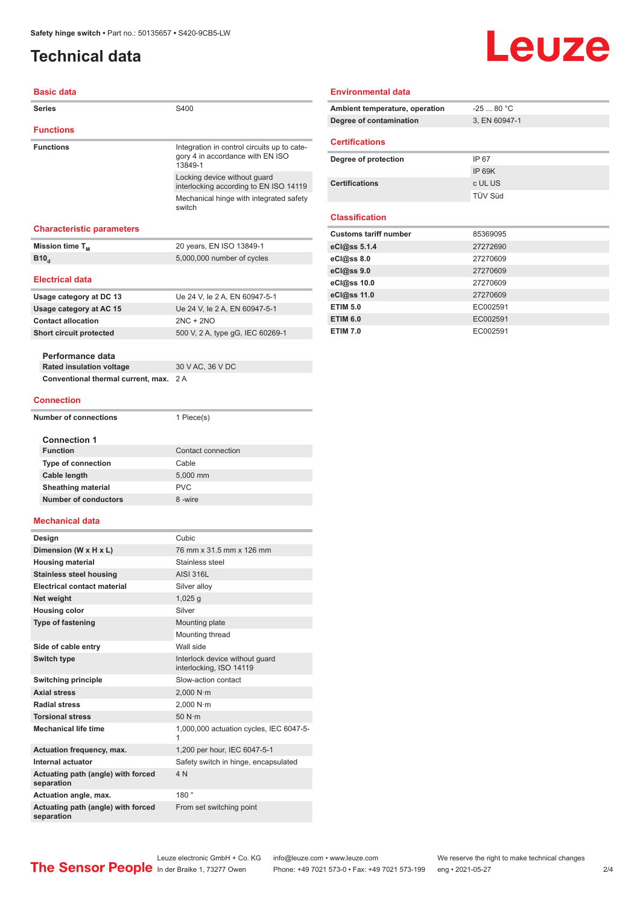### <span id="page-1-0"></span>**Technical data**

#### **Basic data**

| <b>Series</b>                                            | S400                                                                                       |
|----------------------------------------------------------|--------------------------------------------------------------------------------------------|
| <b>Functions</b>                                         |                                                                                            |
| <b>Functions</b>                                         | Integration in control circuits up to cate-<br>gory 4 in accordance with EN ISO<br>13849-1 |
|                                                          | Locking device without guard<br>interlocking according to EN ISO 14119                     |
|                                                          | Mechanical hinge with integrated safety<br>switch                                          |
| <b>Characteristic parameters</b>                         |                                                                                            |
| Mission time T <sub>M</sub>                              | 20 years, EN ISO 13849-1                                                                   |
| <b>B</b> 10 <sub>d</sub>                                 | 5,000,000 number of cycles                                                                 |
| <b>Electrical data</b>                                   |                                                                                            |
| Usage category at DC 13                                  | Ue 24 V, le 2 A, EN 60947-5-1                                                              |
| Usage category at AC 15                                  | Ue 24 V, le 2 A, EN 60947-5-1                                                              |
| <b>Contact allocation</b>                                | $2NC + 2NO$                                                                                |
| Short circuit protected                                  | 500 V, 2 A, type gG, IEC 60269-1                                                           |
|                                                          |                                                                                            |
| Performance data<br><b>Rated insulation voltage</b>      | 30 V AC, 36 V DC                                                                           |
| Conventional thermal current, max.                       | 2 A                                                                                        |
|                                                          |                                                                                            |
| <b>Connection</b>                                        |                                                                                            |
| <b>Number of connections</b>                             | 1 Piece(s)                                                                                 |
| <b>Connection 1</b>                                      |                                                                                            |
| <b>Function</b>                                          | Contact connection                                                                         |
| <b>Type of connection</b>                                | Cable                                                                                      |
| Cable length                                             | 5,000 mm                                                                                   |
| <b>Sheathing material</b><br><b>Number of conductors</b> | <b>PVC</b><br>8-wire                                                                       |
|                                                          |                                                                                            |
| Mechanical data                                          |                                                                                            |
| Design                                                   | Cubic                                                                                      |
| Dimension (W x H x L)                                    | 76 mm x 31.5 mm x 126 mm                                                                   |
| <b>Housing material</b>                                  | Stainless steel                                                                            |
| <b>Stainless steel housing</b>                           | <b>AISI 316L</b>                                                                           |
| <b>Electrical contact material</b>                       | Silver alloy                                                                               |
| Net weight                                               | $1,025$ g                                                                                  |
| <b>Housing color</b><br><b>Type of fastening</b>         | Silver                                                                                     |
|                                                          | Mounting plate<br>Mounting thread                                                          |
| Side of cable entry                                      | Wall side                                                                                  |
| Switch type                                              | Interlock device without guard<br>interlocking, ISO 14119                                  |
| Switching principle                                      | Slow-action contact                                                                        |
| <b>Axial stress</b>                                      | 2.000 N·m                                                                                  |
| <b>Radial stress</b>                                     | 2,000 N·m                                                                                  |
| <b>Torsional stress</b>                                  | 50 N·m                                                                                     |
| <b>Mechanical life time</b>                              | 1,000,000 actuation cycles, IEC 6047-5-                                                    |
| <b>Actuation frequency, max.</b>                         | 1,200 per hour, IEC 6047-5-1                                                               |
| Internal actuator                                        | Safety switch in hinge, encapsulated                                                       |
| Actuating path (angle) with forced<br>separation         | 4N                                                                                         |
| Actuation angle, max.                                    | 180°                                                                                       |
| Actuating path (angle) with forced                       | From set switching point                                                                   |
| separation                                               |                                                                                            |
|                                                          |                                                                                            |

#### **Environmental data**

| Ambient temperature, operation | $-2580 °C$    |
|--------------------------------|---------------|
| Degree of contamination        | 3, EN 60947-1 |
| <b>Certifications</b>          |               |
| Degree of protection           | IP 67         |
|                                | IP 69K        |
| <b>Certifications</b>          | c UL US       |

TÜV Süd

Leuze

#### **Classification**

| 85369095 |
|----------|
| 27272690 |
| 27270609 |
| 27270609 |
| 27270609 |
| 27270609 |
| EC002591 |
| EC002591 |
| EC002591 |
|          |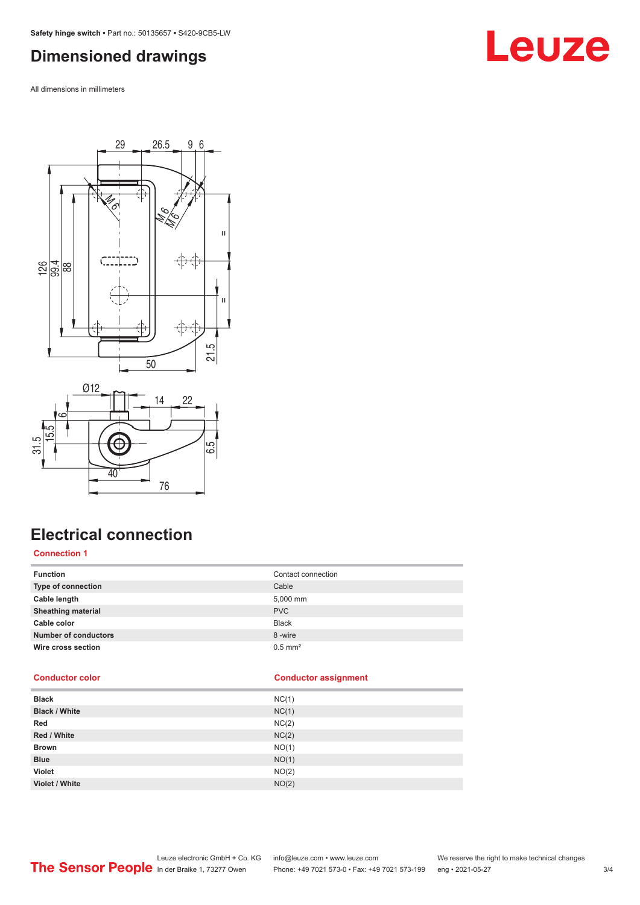### <span id="page-2-0"></span>**Dimensioned drawings**

All dimensions in millimeters







### **Electrical connection**

#### **Connection 1**

| <b>Function</b>             | Contact connection    |
|-----------------------------|-----------------------|
| Type of connection          | Cable                 |
| Cable length                | 5,000 mm              |
| <b>Sheathing material</b>   | <b>PVC</b>            |
| Cable color                 | <b>Black</b>          |
| <b>Number of conductors</b> | 8-wire                |
| Wire cross section          | $0.5$ mm <sup>2</sup> |

#### **Conductor color Conductor assignment**

| <b>Black</b>         | NC(1) |
|----------------------|-------|
| <b>Black / White</b> | NC(1) |
| Red                  | NC(2) |
| Red / White          | NC(2) |
| <b>Brown</b>         | NO(1) |
| <b>Blue</b>          | NO(1) |
| <b>Violet</b>        | NO(2) |
| Violet / White       | NO(2) |
|                      |       |